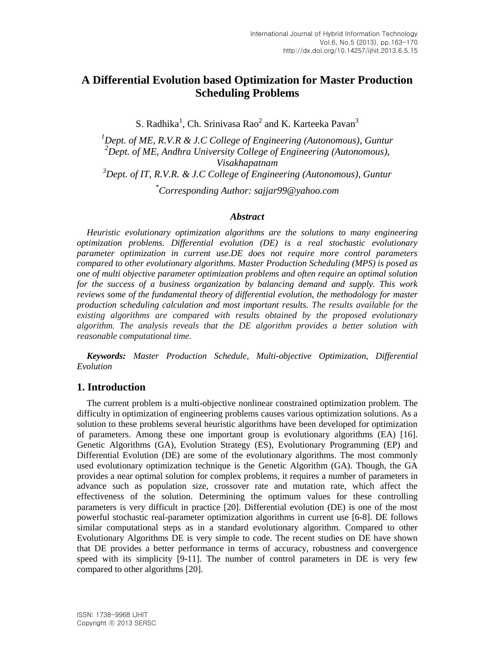# **A Differential Evolution based Optimization for Master Production Scheduling Problems**

S. Radhika<sup>1</sup>, Ch. Srinivasa Rao<sup>2</sup> and K. Karteeka Pavan<sup>3</sup>

*<sup>1</sup>Dept. of ME, R.V.R & J.C College of Engineering (Autonomous), Guntur <sup>2</sup>Dept. of ME, Andhra University College of Engineering (Autonomous), Visakhapatnam <sup>3</sup>Dept. of IT, R.V.R. & J.C College of Engineering (Autonomous), Guntur \*Corresponding Author: sajjar99@yahoo.com*

#### *Abstract*

*Heuristic evolutionary optimization algorithms are the solutions to many engineering optimization problems. Differential evolution (DE) is a real stochastic evolutionary parameter optimization in current use.DE does not require more control parameters compared to other evolutionary algorithms. Master Production Scheduling (MPS) is posed as one of multi objective parameter optimization problems and often require an optimal solution for the success of a business organization by balancing demand and supply. This work reviews some of the fundamental theory of differential evolution, the methodology for master production scheduling calculation and most important results. The results available for the existing algorithms are compared with results obtained by the proposed evolutionary algorithm. The analysis reveals that the DE algorithm provides a better solution with reasonable computational time.*

*Keywords: Master Production Schedule, Multi-objective Optimization, Differential Evolution*

## **1. Introduction**

The current problem is a multi-objective nonlinear constrained optimization problem. The difficulty in optimization of engineering problems causes various optimization solutions. As a solution to these problems several heuristic algorithms have been developed for optimization of parameters. Among these one important group is evolutionary algorithms (EA) [16]. Genetic Algorithms (GA), Evolution Strategy (ES), Evolutionary Programming (EP) and Differential Evolution (DE) are some of the evolutionary algorithms. The most commonly used evolutionary optimization technique is the Genetic Algorithm (GA). Though, the GA provides a near optimal solution for complex problems, it requires a number of parameters in advance such as population size, crossover rate and mutation rate, which affect the effectiveness of the solution. Determining the optimum values for these controlling parameters is very difficult in practice [20]. Differential evolution (DE) is one of the most powerful stochastic real-parameter optimization algorithms in current use [6-8]. DE follows similar computational steps as in a standard evolutionary algorithm. Compared to other Evolutionary Algorithms DE is very simple to code. The recent studies on DE have shown that DE provides a better performance in terms of accuracy, robustness and convergence speed with its simplicity [9-11]. The number of control parameters in DE is very few compared to other algorithms [20].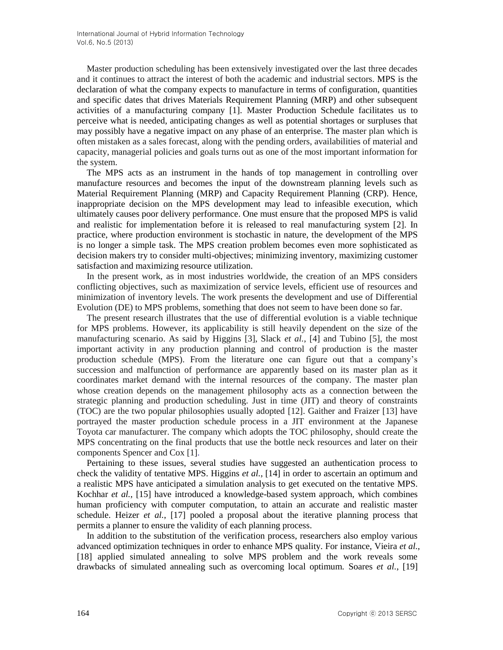Master production scheduling has been extensively investigated over the last three decades and it continues to attract the interest of both the academic and industrial sectors. MPS is the declaration of what the company expects to manufacture in terms of configuration, quantities and specific dates that drives Materials Requirement Planning (MRP) and other subsequent activities of a manufacturing company [1]. Master Production Schedule facilitates us to perceive what is needed, anticipating changes as well as potential shortages or surpluses that may possibly have a negative impact on any phase of an enterprise. The master plan which is often mistaken as a sales forecast, along with the pending orders, availabilities of material and capacity, managerial policies and goals turns out as one of the most important information for the system.

The MPS acts as an instrument in the hands of top management in controlling over manufacture resources and becomes the input of the downstream planning levels such as Material Requirement Planning (MRP) and Capacity Requirement Planning (CRP). Hence, inappropriate decision on the MPS development may lead to infeasible execution, which ultimately causes poor delivery performance. One must ensure that the proposed MPS is valid and realistic for implementation before it is released to real manufacturing system [2]. In practice, where production environment is stochastic in nature, the development of the MPS is no longer a simple task. The MPS creation problem becomes even more sophisticated as decision makers try to consider multi-objectives; minimizing inventory, maximizing customer satisfaction and maximizing resource utilization.

In the present work, as in most industries worldwide, the creation of an MPS considers conflicting objectives, such as maximization of service levels, efficient use of resources and minimization of inventory levels. The work presents the development and use of Differential Evolution (DE) to MPS problems, something that does not seem to have been done so far.

The present research illustrates that the use of differential evolution is a viable technique for MPS problems. However, its applicability is still heavily dependent on the size of the manufacturing scenario. As said by Higgins [3], Slack *et al.*, [4] and Tubino [5], the most important activity in any production planning and control of production is the master production schedule (MPS). From the literature one can figure out that a company's succession and malfunction of performance are apparently based on its master plan as it coordinates market demand with the internal resources of the company. The master plan whose creation depends on the management philosophy acts as a connection between the strategic planning and production scheduling. Just in time (JIT) and theory of constraints (TOC) are the two popular philosophies usually adopted [12]. Gaither and Fraizer [13] have portrayed the master production schedule process in a JIT environment at the Japanese Toyota car manufacturer. The company which adopts the TOC philosophy, should create the MPS concentrating on the final products that use the bottle neck resources and later on their components Spencer and Cox [1].

Pertaining to these issues, several studies have suggested an authentication process to check the validity of tentative MPS. Higgins *et al.*, [14] in order to ascertain an optimum and a realistic MPS have anticipated a simulation analysis to get executed on the tentative MPS. Kochhar *et al.*, [15] have introduced a knowledge-based system approach, which combines human proficiency with computer computation, to attain an accurate and realistic master schedule. Heizer *et al.*, [17] pooled a proposal about the iterative planning process that permits a planner to ensure the validity of each planning process.

In addition to the substitution of the verification process, researchers also employ various advanced optimization techniques in order to enhance MPS quality. For instance, Vieira *et al.*, [18] applied simulated annealing to solve MPS problem and the work reveals some drawbacks of simulated annealing such as overcoming local optimum. Soares *et al.*, [19]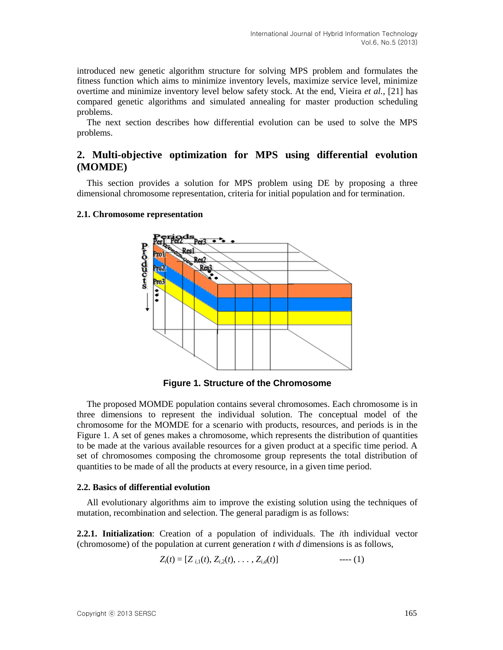introduced new genetic algorithm structure for solving MPS problem and formulates the fitness function which aims to minimize inventory levels, maximize service level, minimize overtime and minimize inventory level below safety stock. At the end, Vieira *et al.*, [21] has compared genetic algorithms and simulated annealing for master production scheduling problems.

The next section describes how differential evolution can be used to solve the MPS problems.

## **2. Multi-objective optimization for MPS using differential evolution (MOMDE)**

This section provides a solution for MPS problem using DE by proposing a three dimensional chromosome representation, criteria for initial population and for termination.



#### **2.1. Chromosome representation**

**Figure 1. Structure of the Chromosome**

The proposed MOMDE population contains several chromosomes. Each chromosome is in three dimensions to represent the individual solution. The conceptual model of the chromosome for the MOMDE for a scenario with products, resources, and periods is in the Figure 1. A set of genes makes a chromosome, which represents the distribution of quantities to be made at the various available resources for a given product at a specific time period. A set of chromosomes composing the chromosome group represents the total distribution of quantities to be made of all the products at every resource, in a given time period.

#### **2.2. Basics of differential evolution**

All evolutionary algorithms aim to improve the existing solution using the techniques of mutation, recombination and selection. The general paradigm is as follows:

**2.2.1. Initialization**: Creation of a population of individuals. The *i*th individual vector (chromosome) of the population at current generation *t* with *d* dimensions is as follows,

$$
Z_i(t) = [Z_{i,1}(t), Z_{i,2}(t), \ldots, Z_{i,d}(t)] \qquad \qquad \text{---}(1)
$$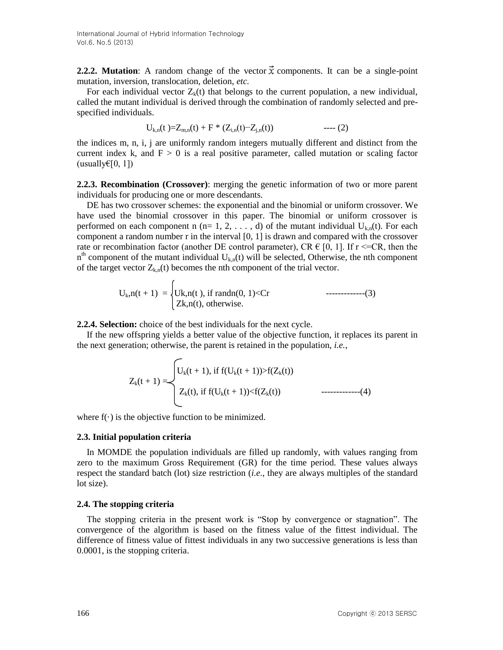**2.2.2. Mutation:** A random change of the vector  $\vec{x}$  components. It can be a single-point mutation, inversion, translocation, deletion, *etc.*

For each individual vector  $Z_k(t)$  that belongs to the current population, a new individual, called the mutant individual is derived through the combination of randomly selected and prespecified individuals.

$$
U_{k,n}(t) = Z_{m,n}(t) + F^* (Z_{i,n}(t) - Z_{j,n}(t)) \qquad \qquad \text{---} (2)
$$

the indices m, n, i, j are uniformly random integers mutually different and distinct from the current index k, and  $F > 0$  is a real positive parameter, called mutation or scaling factor  $(usually \in [0, 1])$ 

**2.2.3. Recombination (Crossover)**: merging the genetic information of two or more parent individuals for producing one or more descendants.

DE has two crossover schemes: the exponential and the binomial or uniform crossover. We have used the binomial crossover in this paper. The binomial or uniform crossover is performed on each component n (n= 1, 2, ..., d) of the mutant individual  $U_{k,n}(t)$ . For each component a random number r in the interval [0, 1] is drawn and compared with the crossover rate or recombination factor (another DE control parameter), CR  $\in$  [0, 1]. If r <= CR, then the  $n<sup>th</sup>$  component of the mutant individual  $U_{k,n}(t)$  will be selected, Otherwise, the nth component of the target vector  $Z_{k,n}(t)$  becomes the nth component of the trial vector.

$$
U_k, n(t+1) = \begin{cases} Uk, n(t), & \text{if } randn(0, 1) < Cr \\ Zk, n(t), & \text{otherwise.} \end{cases}
$$

**2.2.4. Selection:** choice of the best individuals for the next cycle.

If the new offspring yields a better value of the objective function, it replaces its parent in the next generation; otherwise, the parent is retained in the population, *i.e.*,

$$
Z_k(t+1) = \begin{cases} U_k(t+1), \text{ if } f(U_k(t+1)) > f(Z_k(t)) \\ Z_k(t), \text{ if } f(U_k(t+1)) < f(Z_k(t)) \\ \end{cases} \text{ .........(4)}
$$

where  $f(\cdot)$  is the objective function to be minimized.

#### **2.3. Initial population criteria**

In MOMDE the population individuals are filled up randomly, with values ranging from zero to the maximum Gross Requirement (GR) for the time period. These values always respect the standard batch (lot) size restriction (*i.e.*, they are always multiples of the standard lot size).

#### **2.4. The stopping criteria**

The stopping criteria in the present work is "Stop by convergence or stagnation". The convergence of the algorithm is based on the fitness value of the fittest individual. The difference of fitness value of fittest individuals in any two successive generations is less than 0.0001, is the stopping criteria.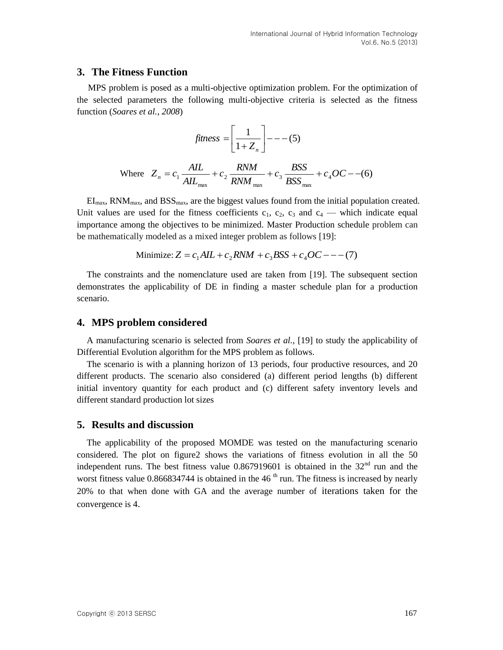max

## **3. The Fitness Function**

MPS problem is posed as a multi-objective optimization problem. For the optimization of the selected parameters the following multi-objective criteria is selected as the fitness function (*Soares et al.*, *2008*)

$$
fitness = \left[\frac{1}{1+Z_n}\right] - -(5)
$$
  
Where  $Z_n = c_1 \frac{AIL}{AIL_{max}} + c_2 \frac{RNM}{RNM_{max}} + c_3 \frac{BSS}{BSS_{max}} + c_4 OC - -(6)$ 

 $EI_{\text{max}}$ ,  $RNM_{\text{max}}$ , and  $BSS_{\text{max}}$ , are the biggest values found from the initial population created. Unit values are used for the fitness coefficients  $c_1$ ,  $c_2$ ,  $c_3$  and  $c_4$  — which indicate equal importance among the objectives to be minimized. Master Production schedule problem can be mathematically modeled as a mixed integer problem as follows [19]:

max

Minimize: 
$$
Z = c_1 A I L + c_2 R N M + c_3 B S S + c_4 O C - - - (7)
$$

The constraints and the nomenclature used are taken from [19]. The subsequent section demonstrates the applicability of DE in finding a master schedule plan for a production scenario.

#### **4. MPS problem considered**

A manufacturing scenario is selected from *Soares et al.*, [19] to study the applicability of Differential Evolution algorithm for the MPS problem as follows.

The scenario is with a planning horizon of 13 periods, four productive resources, and 20 different products. The scenario also considered (a) different period lengths (b) different initial inventory quantity for each product and (c) different safety inventory levels and different standard production lot sizes

### **5. Results and discussion**

The applicability of the proposed MOMDE was tested on the manufacturing scenario considered. The plot on figure2 shows the variations of fitness evolution in all the 50 independent runs. The best fitness value  $0.867919601$  is obtained in the  $32<sup>nd</sup>$  run and the worst fitness value 0.866834744 is obtained in the 46<sup>th</sup> run. The fitness is increased by nearly 20% to that when done with GA and the average number of iterations taken for the convergence is 4.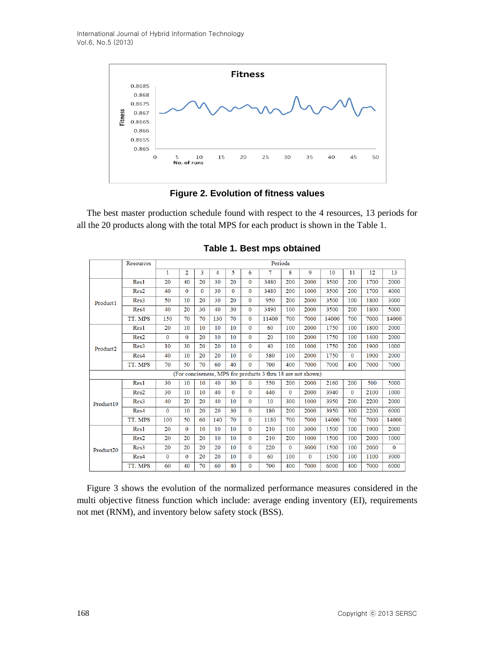International Journal of Hybrid Information Technology Vol.6, No.5 (2013)



**Figure 2. Evolution of fitness values**

The best master production schedule found with respect to the 4 resources, 13 periods for all the 20 products along with the total MPS for each product is shown in the Table 1.

|                                                             | Resources        | Periods      |                |          |     |              |              |       |              |          |       |              |      |              |
|-------------------------------------------------------------|------------------|--------------|----------------|----------|-----|--------------|--------------|-------|--------------|----------|-------|--------------|------|--------------|
|                                                             |                  | 1            | $\overline{2}$ | 3        | 4   | 5            | 6            | 7     | 8            | 9        | 10    | 11           | 12   | 13           |
| Product1                                                    | Res1             | 20           | 40             | 20       | 30  | 20           | $\Omega$     | 3480  | 200          | 2000     | 3500  | 200          | 1700 | 2000         |
|                                                             | Res2             | 40           | $\bf{0}$       | $\Omega$ | 30  | $\mathbf{0}$ | $\bf{0}$     | 3480  | 200          | 1000     | 3500  | 200          | 1700 | 4000         |
|                                                             | Res <sub>3</sub> | 50           | 10             | 20       | 30  | 20           | $\mathbf{0}$ | 950   | 200          | 2000     | 3500  | 100          | 1800 | 3000         |
|                                                             | Res4             | 40           | 20             | 30       | 40  | 30           | $\Omega$     | 3490  | 100          | 2000     | 3500  | 200          | 1800 | 5000         |
|                                                             | TT. MPS          | 150          | 70             | 70       | 130 | 70           | $\bf{0}$     | 11400 | 700          | 7000     | 14000 | 700          | 7000 | 14000        |
| Product <sub>2</sub>                                        | Res1             | 20           | 10             | 10       | 10  | 10           | $\bf{0}$     | 60    | 100          | 2000     | 1750  | 100          | 1800 | 2000         |
|                                                             | Res2             | $\Omega$     | $\mathbf{0}$   | 20       | 10  | 10           | $\Omega$     | 20    | 100          | 2000     | 1750  | 100          | 1400 | 2000         |
|                                                             | Res <sub>3</sub> | 10           | 30             | 20       | 20  | 10           | $\mathbf{0}$ | 40    | 100          | 1000     | 1750  | 200          | 1900 | 1000         |
|                                                             | Res4             | 40           | 10             | 20       | 20  | 10           | $\bf{0}$     | 580   | 100          | 2000     | 1750  | $\mathbf{0}$ | 1900 | 2000         |
|                                                             | TT. MPS          | 70           | 50             | 70       | 60  | 40           | $\mathbf{0}$ | 700   | 400          | 7000     | 7000  | 400          | 7000 | 7000         |
| (For conciseness, MPS for products 3 thru 18 are not shown) |                  |              |                |          |     |              |              |       |              |          |       |              |      |              |
| Product19                                                   | Res1             | 30           | 10             | 10       | 40  | 30           | $\mathbf{0}$ | 550   | 200          | 2000     | 2160  | 200          | 500  | 5000         |
|                                                             | Res <sub>2</sub> | 30           | 10             | 10       | 40  | $\mathbf{0}$ | $\mathbf{0}$ | 440   | $\mathbf{0}$ | 2000     | 3940  | $\mathbf{0}$ | 2100 | 1000         |
|                                                             | Res <sub>3</sub> | 40           | 20             | 20       | 40  | 10           | $\Omega$     | 10    | 300          | 1000     | 3950  | 200          | 2200 | 2000         |
|                                                             | Res4             | $\mathbf{0}$ | 10             | 20       | 20  | 30           | $\bf{0}$     | 180   | 200          | 2000     | 3950  | 300          | 2200 | 6000         |
|                                                             | TT. MPS          | 100          | 50             | 60       | 140 | 70           | $\mathbf{0}$ | 1180  | 700          | 7000     | 14000 | 700          | 7000 | 14000        |
| Product20                                                   | Res1             | 20           | $\mathbf{0}$   | 10       | 10  | 10           | $\bf{0}$     | 210   | 100          | 3000     | 1500  | 100          | 1900 | 2000         |
|                                                             | Res2             | 20           | 20             | 20       | 10  | 10           | $\bf{0}$     | 210   | 200          | 1000     | 1500  | 100          | 2000 | 1000         |
|                                                             | Res <sub>3</sub> | 20           | 20             | 20       | 20  | 10           | $\mathbf{0}$ | 220   | $\mathbf{0}$ | 3000     | 1500  | 100          | 2000 | $\mathbf{0}$ |
|                                                             | Res4             | $\Omega$     | $\Omega$       | 20       | 20  | 10           | $\Omega$     | 60    | 100          | $\Omega$ | 1500  | 100          | 1100 | 3000         |
|                                                             | TT. MPS          | 60           | 40             | 70       | 60  | 40           | $\bf{0}$     | 700   | 400          | 7000     | 6000  | 400          | 7000 | 6000         |

**Table 1. Best mps obtained**

Figure 3 shows the evolution of the normalized performance measures considered in the multi objective fitness function which include: average ending inventory (EI), requirements not met (RNM), and inventory below safety stock (BSS).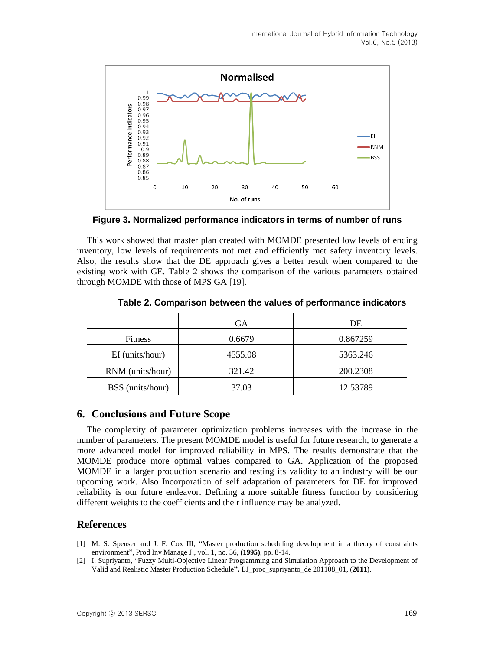

**Figure 3. Normalized performance indicators in terms of number of runs**

This work showed that master plan created with MOMDE presented low levels of ending inventory, low levels of requirements not met and efficiently met safety inventory levels. Also, the results show that the DE approach gives a better result when compared to the existing work with GE. Table 2 shows the comparison of the various parameters obtained through MOMDE with those of MPS GA [19].

|                  | GА      | DE       |
|------------------|---------|----------|
| Fitness          | 0.6679  | 0.867259 |
| EI (units/hour)  | 4555.08 | 5363.246 |
| RNM (units/hour) | 321.42  | 200.2308 |
| BSS (units/hour) | 37.03   | 12.53789 |

**Table 2. Comparison between the values of performance indicators**

## **6. Conclusions and Future Scope**

The complexity of parameter optimization problems increases with the increase in the number of parameters. The present MOMDE model is useful for future research, to generate a more advanced model for improved reliability in MPS. The results demonstrate that the MOMDE produce more optimal values compared to GA. Application of the proposed MOMDE in a larger production scenario and testing its validity to an industry will be our upcoming work. Also Incorporation of self adaptation of parameters for DE for improved reliability is our future endeavor. Defining a more suitable fitness function by considering different weights to the coefficients and their influence may be analyzed.

## **References**

- [1] M. S. Spenser and J. F. Cox III, "Master production scheduling development in a theory of constraints environment", Prod Inv Manage J., vol. 1, no. 36, **(1995)**, pp. 8-14.
- [2] I. Supriyanto, "Fuzzy Multi-Objective Linear Programming and Simulation Approach to the Development of Valid and Realistic Master Production Schedule**",** LJ\_proc\_supriyanto\_de 201108\_01, (**2011)**.